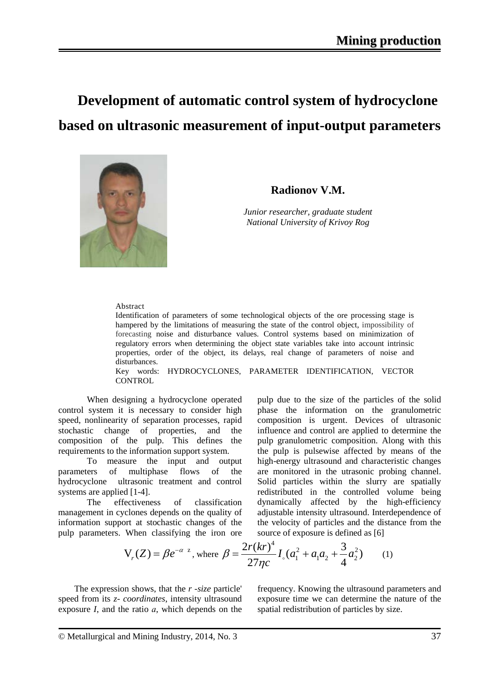# **Development of automatic control system of hydrocyclone based on ultrasonic measurement of input-output parameters**



## **Radionov V.M.**

*Junior researcher, graduate student National University of Krivoy Rog*

#### Abstract

Identification of parameters of some technological objects of the ore processing stage is hampered by the limitations of measuring the state of the control object, impossibility of forecasting noise and disturbance values. Control systems based on minimization of regulatory errors when determining the object state variables take into account intrinsic properties, order of the object, its delays, real change of parameters of noise and disturbances.

Key words: HYDROCYCLONES, PARAMETER IDENTIFICATION, VECTOR **CONTROL** 

When designing a hydrocyclone operated control system it is necessary to consider high speed, nonlinearity of separation processes, rapid stochastic change of properties, and the composition of the pulp. This defines the requirements to the information support system.

To measure the input and output parameters of multiphase flows of the hydrocyclone ultrasonic treatment and control systems are applied [1-4].

The effectiveness of classification management in cyclones depends on the quality of information support at stochastic changes of the pulp parameters. When classifying the iron ore pulp due to the size of the particles of the solid phase the information on the granulometric composition is urgent. Devices of ultrasonic influence and control are applied to determine the pulp granulometric composition. Along with this the pulp is pulsewise affected by means of the high-energy ultrasound and characteristic changes are monitored in the utrasonic probing channel. Solid particles within the slurry are spatially redistributed in the controlled volume being dynamically affected by the high-efficiency adjustable intensity ultrasound. Interdependence of the velocity of particles and the distance from the source of exposure is defined as [6]

$$
V_r(Z) = \beta e^{-\alpha z}, \text{ where } \beta = \frac{2r(kr)^4}{27\eta c} I_c(a_1^2 + a_1 a_2 + \frac{3}{4} a_2^2) \qquad (1)
$$

The expression shows, that the *r -size* particle' speed from its *z- coordinates*, intensity ultrasound exposure *I*, and the ratio *а*, which depends on the frequency. Knowing the ultrasound parameters and exposure time we can determine the nature of the spatial redistribution of particles by size.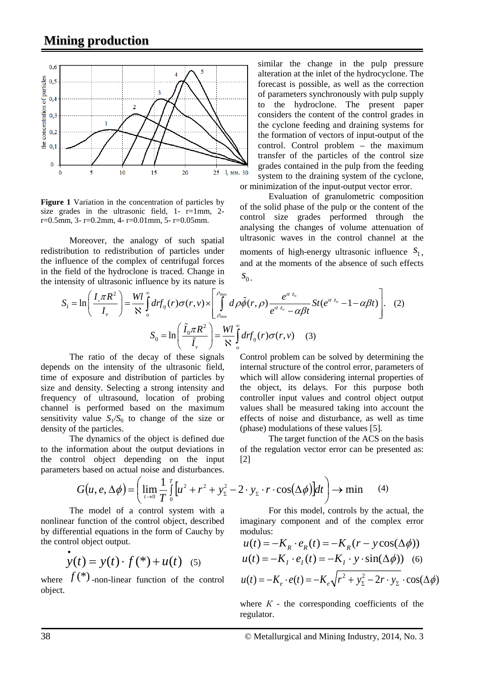

**Figure 1** Variation in the concentration of particles by size grades in the ultrasonic field,  $1 - r=1$ mm,  $2$  $r=0.5$ mm, 3-  $r=0.2$ mm, 4-  $r=0.01$ mm, 5-  $r=0.05$ mm.

Moreover, the analogy of such spatial redistribution to redistribution of particles under the influence of the complex of centrifugal forces in the field of the hydroclone is traced. Change in the intensity of ultrasonic influence by its nature is

similar the change in the pulp pressure alteration at the inlet of the hydrocyclone. The forecast is possible, as well as the correction of parameters synchronously with pulp supply to the hydroclone. The present paper considers the content of the control grades in the cyclone feeding and draining systems for the formation of vectors of input-output of the control. Control problem – the maximum transfer of the particles of the control size grades contained in the pulp from the feeding system to the draining system of the cyclone, or minimization of the input-output vector error.

Evaluation of granulometric composition of the solid phase of the pulp or the content of the control size grades performed through the analysing the changes of volume attenuation of ultrasonic waves in the control channel at the moments of high-energy ultrasonic influence  $S_1$ , and at the moments of the absence of such effects  $S_0$ .

$$
S_1 = \ln\left(\frac{I_{\circ}\pi R^2}{I_{\nu}}\right) = \frac{Wl}{N} \int_0^{\infty} dr f_{\eta}(r)\sigma(r,\nu) \times \left[\int_{\rho_{\min}}^{\rho_{\max}} d\rho \tilde{\phi}(r,\rho) \frac{e^{\alpha z_o}}{e^{\alpha z_o} - \alpha\beta t} St(e^{\alpha z_o} - 1 - \alpha\beta t)\right]. \tag{2}
$$

$$
S_0 = \ln\left(\frac{\tilde{I}_0 \pi R^2}{\tilde{I}_{\nu}}\right) = \frac{Wl}{N} \int_0^{\infty} dr f_{\eta}(r)\sigma(r,\nu) \tag{3}
$$

The ratio of the decay of these signals depends on the intensity of the ultrasonic field, time of exposure and distribution of particles by size and density. Selecting a strong intensity and frequency of ultrasound, location of probing channel is performed based on the maximum sensitivity value  $S_1/S_0$  to change of the size or density of the particles.

The dynamics of the object is defined due to the information about the output deviations in the control object depending on the input parameters based on actual noise and disturbances.

Control problem can be solved by determining the internal structure of the control error, parameters of which will allow considering internal properties of the object, its delays. For this purpose both controller input values and control object output values shall be measured taking into account the effects of noise and disturbance, as well as time (phase) modulations of these values [5]*.*

The target function of the ACS on the basis of the regulation vector error can be presented as: [2]

$$
G(u, e, \Delta \phi) = \left( \lim_{t \to 0} \frac{1}{T} \int_0^T \left[ u^2 + r^2 + y_{\Sigma}^2 - 2 \cdot y_{\Sigma} \cdot r \cdot \cos(\Delta \phi) \right] dt \right) \to \min \quad (4)
$$

For this model, controls by the actual, the imaginary component and of the complex error modulus:

$$
u(t) = -K_R \cdot e_R(t) = -K_R(r - y\cos(\Delta\phi))
$$
  
\n
$$
u(t) = -K_I \cdot e_I(t) = -K_I \cdot y \cdot \sin(\Delta\phi)
$$
 (6)  
\n
$$
u(t) = -K_e \cdot e(t) = -K_e \sqrt{r^2 + y_\Sigma^2 - 2r \cdot y_\Sigma} \cdot \cos(\Delta\phi)
$$

where  $K$  - the corresponding coefficients of the regulator.

The model of a control system with a nonlinear function of the control object, described by differential equations in the form of Cauchy by the control object output.

$$
\dot{y}(t) = y(t) \cdot f(*) + u(t) \quad (5)
$$

where  $f^{(*)}$ -non-linear function of the control object.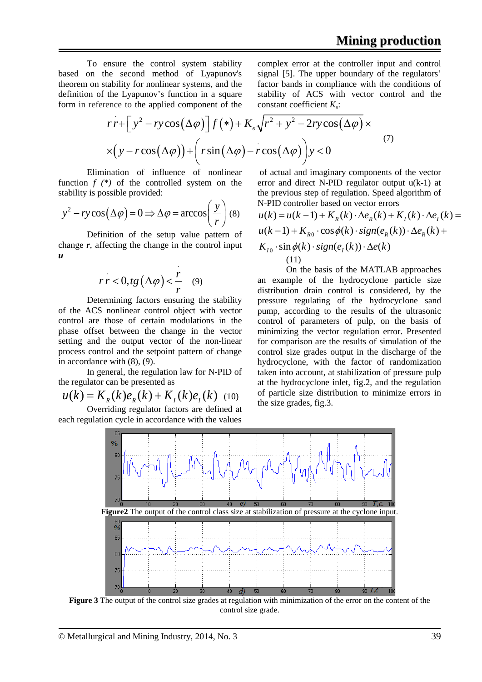To ensure the control system stability based on the second method of Lyapunov's theorem on stability for nonlinear systems, and the definition of the Lyapunov's function in a square form in reference to the applied component of the complex error at the controller input and control signal [5]. The upper boundary of the regulators' factor bands in compliance with the conditions of stability of ACS with vector control and the constant coefficient *K<sub>β</sub>*:

$$
rr + \left[ y^2 - ry\cos(\Delta\varphi) \right] f(*) + K_e \sqrt{r^2 + y^2 - 2ry\cos(\Delta\varphi)} \times
$$
  
 
$$
\times \left( y - r\cos(\Delta\varphi) \right) + \left( r\sin(\Delta\varphi) - r\cos(\Delta\varphi) \right) y < 0
$$
 (7)

Elimination of influence of nonlinear function *f (\*)* of the controlled system on the stability is possible provided:

$$
y^{2} - ry\cos(\Delta\varphi) = 0 \Longrightarrow \Delta\varphi = \arccos\left(\frac{y}{r}\right)
$$
 (8)

Definition of the setup value pattern of change *r*, affecting the change in the control input *u*

$$
rr < 0, tg\left(\Delta \varphi\right) < \frac{r}{r} \quad (9)
$$

Determining factors ensuring the stability of the ACS nonlinear control object with vector control are those of certain modulations in the phase offset between the change in the vector setting and the output vector of the non-linear process control and the setpoint pattern of change in accordance with (8), (9).

In general, the regulation law for N-PID of the regulator can be presented as

$$
u(k) = K_{R}(k)e_{R}(k) + K_{I}(k)e_{I}(k)
$$
 (10)

Overriding regulator factors are defined at each regulation cycle in accordance with the values

of actual and imaginary components of the vector error and direct N-PID regulator output u(k-1) at the previous step of regulation. Speed algorithm of N-PID controller based on vector errors

$$
u(k) = u(k-1) + K_R(k) \cdot \Delta e_R(k) + K_I(k) \cdot \Delta e_I(k) =
$$
  
 
$$
u(k-1) + K_{R0} \cdot \cos \phi(k) \cdot sign(e_R(k)) \cdot \Delta e_R(k) +
$$
  
 
$$
K_{I0} \cdot \sin \phi(k) \cdot sign(e_I(k)) \cdot \Delta e(k)
$$
  
(11)

On the basis of the MATLAB approaches an example of the hydrocyclone particle size distribution drain control is considered, by the pressure regulating of the hydrocyclone sand pump, according to the results of the ultrasonic control of parameters of pulp, on the basis of minimizing the vector regulation error. Presented for comparison are the results of simulation of the control size grades output in the discharge of the hydrocyclone, with the factor of randomization taken into account, at stabilization of pressure pulp at the hydrocyclone inlet, fig.2, and the regulation of particle size distribution to minimize errors in the size grades, fig.3.



**Figure 3** The output of the control size grades at regulation with minimization of the error on the content of the control size grade.